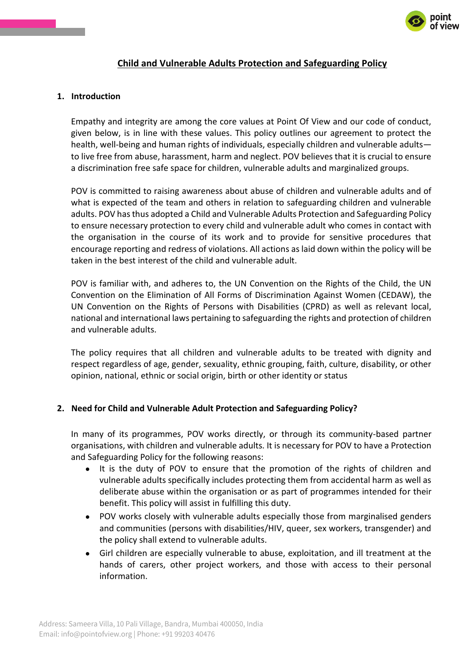

## **Child and Vulnerable Adults Protection and Safeguarding Policy**

#### **1. Introduction**

Empathy and integrity are among the core values at Point Of View and our code of conduct, given below, is in line with these values. This policy outlines our agreement to protect the health, well-being and human rights of individuals, especially children and vulnerable adults to live free from abuse, harassment, harm and neglect. POV believes that it is crucial to ensure a discrimination free safe space for children, vulnerable adults and marginalized groups.

POV is committed to raising awareness about abuse of children and vulnerable adults and of what is expected of the team and others in relation to safeguarding children and vulnerable adults. POV has thus adopted a Child and Vulnerable Adults Protection and Safeguarding Policy to ensure necessary protection to every child and vulnerable adult who comes in contact with the organisation in the course of its work and to provide for sensitive procedures that encourage reporting and redress of violations. All actions as laid down within the policy will be taken in the best interest of the child and vulnerable adult.

POV is familiar with, and adheres to, the UN Convention on the Rights of the Child, the UN Convention on the Elimination of All Forms of Discrimination Against Women (CEDAW), the UN Convention on the Rights of Persons with Disabilities (CPRD) as well as relevant local, national and international laws pertaining to safeguarding the rights and protection of children and vulnerable adults.

The policy requires that all children and vulnerable adults to be treated with dignity and respect regardless of age, gender, sexuality, ethnic grouping, faith, culture, disability, or other opinion, national, ethnic or social origin, birth or other identity or status

#### **2. Need for Child and Vulnerable Adult Protection and Safeguarding Policy?**

In many of its programmes, POV works directly, or through its community-based partner organisations, with children and vulnerable adults. It is necessary for POV to have a Protection and Safeguarding Policy for the following reasons:

- It is the duty of POV to ensure that the promotion of the rights of children and vulnerable adults specifically includes protecting them from accidental harm as well as deliberate abuse within the organisation or as part of programmes intended for their benefit. This policy will assist in fulfilling this duty.
- POV works closely with vulnerable adults especially those from marginalised genders and communities (persons with disabilities/HIV, queer, sex workers, transgender) and the policy shall extend to vulnerable adults.
- Girl children are especially vulnerable to abuse, exploitation, and ill treatment at the hands of carers, other project workers, and those with access to their personal information.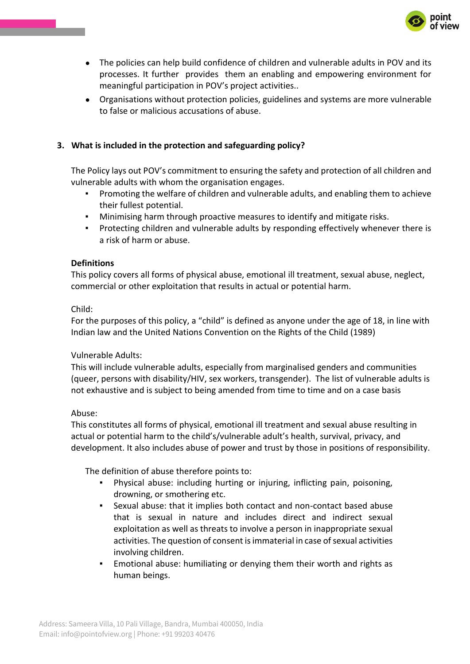

- The policies can help build confidence of children and vulnerable adults in POV and its processes. It further provides them an enabling and empowering environment for meaningful participation in POV's project activities..
- Organisations without protection policies, guidelines and systems are more vulnerable to false or malicious accusations of abuse.

## **3. What is included in the protection and safeguarding policy?**

The Policy lays out POV's commitment to ensuring the safety and protection of all children and vulnerable adults with whom the organisation engages.

- Promoting the welfare of children and vulnerable adults, and enabling them to achieve their fullest potential.
- Minimising harm through proactive measures to identify and mitigate risks.
- Protecting children and vulnerable adults by responding effectively whenever there is a risk of harm or abuse.

### **Definitions**

This policy covers all forms of physical abuse, emotional ill treatment, sexual abuse, neglect, commercial or other exploitation that results in actual or potential harm.

### Child:

For the purposes of this policy, a "child" is defined as anyone under the age of 18, in line with Indian law and the United Nations Convention on the Rights of the Child (1989)

#### Vulnerable Adults:

This will include vulnerable adults, especially from marginalised genders and communities (queer, persons with disability/HIV, sex workers, transgender). The list of vulnerable adults is not exhaustive and is subject to being amended from time to time and on a case basis

#### Abuse:

This constitutes all forms of physical, emotional ill treatment and sexual abuse resulting in actual or potential harm to the child's/vulnerable adult's health, survival, privacy, and development. It also includes abuse of power and trust by those in positions of responsibility.

The definition of abuse therefore points to:

- Physical abuse: including hurting or injuring, inflicting pain, poisoning, drowning, or smothering etc.
- Sexual abuse: that it implies both contact and non-contact based abuse that is sexual in nature and includes direct and indirect sexual exploitation as well as threats to involve a person in inappropriate sexual activities. The question of consent is immaterial in case of sexual activities involving children.
- Emotional abuse: humiliating or denying them their worth and rights as human beings.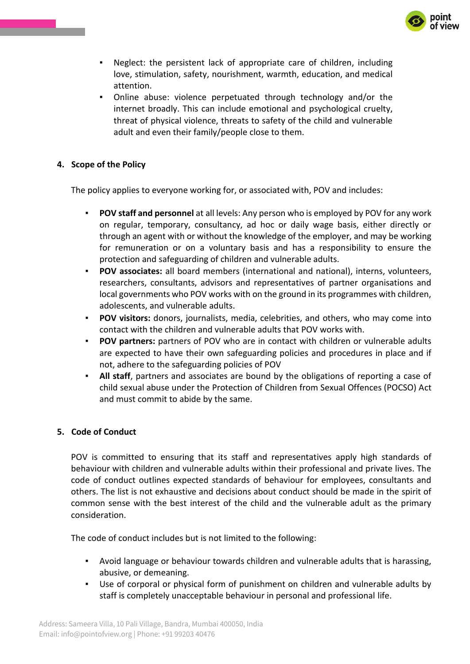

- Neglect: the persistent lack of appropriate care of children, including love, stimulation, safety, nourishment, warmth, education, and medical attention.
- Online abuse: violence perpetuated through technology and/or the internet broadly. This can include emotional and psychological cruelty, threat of physical violence, threats to safety of the child and vulnerable adult and even their family/people close to them.

### **4. Scope of the Policy**

The policy applies to everyone working for, or associated with, POV and includes:

- **POV staff and personnel** at all levels: Any person who is employed by POV for any work on regular, temporary, consultancy, ad hoc or daily wage basis, either directly or through an agent with or without the knowledge of the employer, and may be working for remuneration or on a voluntary basis and has a responsibility to ensure the protection and safeguarding of children and vulnerable adults.
- **POV associates:** all board members (international and national), interns, volunteers, researchers, consultants, advisors and representatives of partner organisations and local governments who POV works with on the ground in its programmes with children, adolescents, and vulnerable adults.
- **POV visitors:** donors, journalists, media, celebrities, and others, who may come into contact with the children and vulnerable adults that POV works with.
- **POV partners:** partners of POV who are in contact with children or vulnerable adults are expected to have their own safeguarding policies and procedures in place and if not, adhere to the safeguarding policies of POV
- All staff, partners and associates are bound by the obligations of reporting a case of child sexual abuse under the Protection of Children from Sexual Offences (POCSO) Act and must commit to abide by the same.

#### **5. Code of Conduct**

POV is committed to ensuring that its staff and representatives apply high standards of behaviour with children and vulnerable adults within their professional and private lives. The code of conduct outlines expected standards of behaviour for employees, consultants and others. The list is not exhaustive and decisions about conduct should be made in the spirit of common sense with the best interest of the child and the vulnerable adult as the primary consideration.

The code of conduct includes but is not limited to the following:

- Avoid language or behaviour towards children and vulnerable adults that is harassing, abusive, or demeaning.
- Use of corporal or physical form of punishment on children and vulnerable adults by staff is completely unacceptable behaviour in personal and professional life.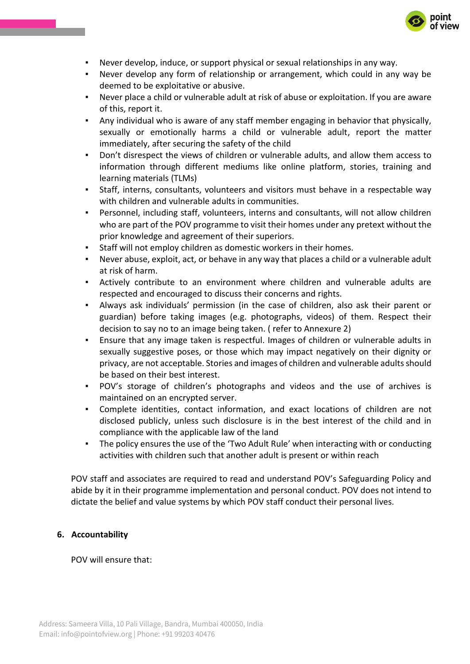

- Never develop, induce, or support physical or sexual relationships in any way.
- Never develop any form of relationship or arrangement, which could in any way be deemed to be exploitative or abusive.
- Never place a child or vulnerable adult at risk of abuse or exploitation. If you are aware of this, report it.
- Any individual who is aware of any staff member engaging in behavior that physically, sexually or emotionally harms a child or vulnerable adult, report the matter immediately, after securing the safety of the child
- Don't disrespect the views of children or vulnerable adults, and allow them access to information through different mediums like online platform, stories, training and learning materials (TLMs)
- Staff, interns, consultants, volunteers and visitors must behave in a respectable way with children and vulnerable adults in communities.
- Personnel, including staff, volunteers, interns and consultants, will not allow children who are part of the POV programme to visit their homes under any pretext without the prior knowledge and agreement of their superiors.
- Staff will not employ children as domestic workers in their homes.
- Never abuse, exploit, act, or behave in any way that places a child or a vulnerable adult at risk of harm.
- Actively contribute to an environment where children and vulnerable adults are respected and encouraged to discuss their concerns and rights.
- Always ask individuals' permission (in the case of children, also ask their parent or guardian) before taking images (e.g. photographs, videos) of them. Respect their decision to say no to an image being taken. ( refer to Annexure 2)
- Ensure that any image taken is respectful. Images of children or vulnerable adults in sexually suggestive poses, or those which may impact negatively on their dignity or privacy, are not acceptable. Stories and images of children and vulnerable adults should be based on their best interest.
- POV's storage of children's photographs and videos and the use of archives is maintained on an encrypted server.
- Complete identities, contact information, and exact locations of children are not disclosed publicly, unless such disclosure is in the best interest of the child and in compliance with the applicable law of the land
- The policy ensures the use of the 'Two Adult Rule' when interacting with or conducting activities with children such that another adult is present or within reach

POV staff and associates are required to read and understand POV's Safeguarding Policy and abide by it in their programme implementation and personal conduct. POV does not intend to dictate the belief and value systems by which POV staff conduct their personal lives.

## **6. Accountability**

POV will ensure that: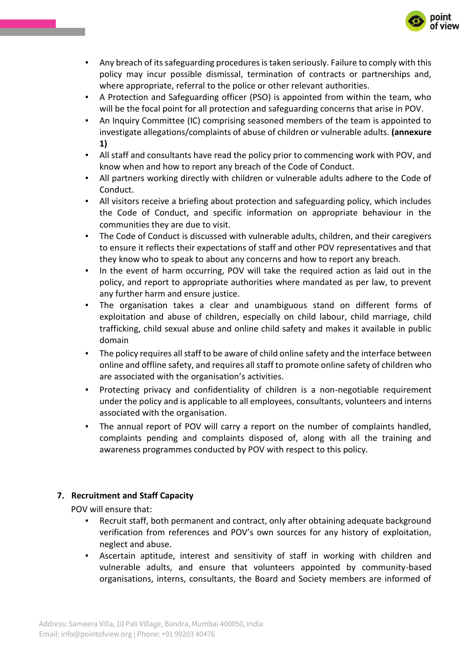

- Any breach of its safeguarding procedures is taken seriously. Failure to comply with this policy may incur possible dismissal, termination of contracts or partnerships and, where appropriate, referral to the police or other relevant authorities.
- A Protection and Safeguarding officer (PSO) is appointed from within the team, who will be the focal point for all protection and safeguarding concerns that arise in POV.
- An Inquiry Committee (IC) comprising seasoned members of the team is appointed to investigate allegations/complaints of abuse of children or vulnerable adults. **(annexure 1)**
- All staff and consultants have read the policy prior to commencing work with POV, and know when and how to report any breach of the Code of Conduct.
- All partners working directly with children or vulnerable adults adhere to the Code of Conduct.
- All visitors receive a briefing about protection and safeguarding policy, which includes the Code of Conduct, and specific information on appropriate behaviour in the communities they are due to visit.
- The Code of Conduct is discussed with vulnerable adults, children, and their caregivers to ensure it reflects their expectations of staff and other POV representatives and that they know who to speak to about any concerns and how to report any breach.
- In the event of harm occurring, POV will take the required action as laid out in the policy, and report to appropriate authorities where mandated as per law, to prevent any further harm and ensure justice.
- The organisation takes a clear and unambiguous stand on different forms of exploitation and abuse of children, especially on child labour, child marriage, child trafficking, child sexual abuse and online child safety and makes it available in public domain
- The policy requires all staff to be aware of child online safety and the interface between online and offline safety, and requires all staff to promote online safety of children who are associated with the organisation's activities.
- Protecting privacy and confidentiality of children is a non-negotiable requirement under the policy and is applicable to all employees, consultants, volunteers and interns associated with the organisation.
- The annual report of POV will carry a report on the number of complaints handled, complaints pending and complaints disposed of, along with all the training and awareness programmes conducted by POV with respect to this policy.

## **7. Recruitment and Staff Capacity**

POV will ensure that:

- Recruit staff, both permanent and contract, only after obtaining adequate background verification from references and POV's own sources for any history of exploitation, neglect and abuse.
- Ascertain aptitude, interest and sensitivity of staff in working with children and vulnerable adults, and ensure that volunteers appointed by community-based organisations, interns, consultants, the Board and Society members are informed of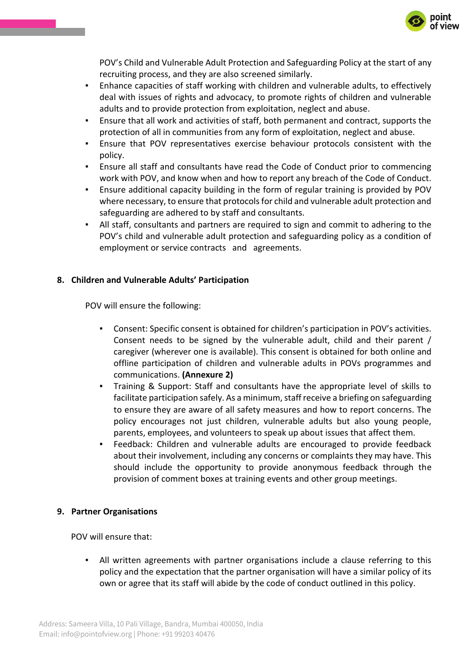

POV's Child and Vulnerable Adult Protection and Safeguarding Policy at the start of any recruiting process, and they are also screened similarly.

- Enhance capacities of staff working with children and vulnerable adults, to effectively deal with issues of rights and advocacy, to promote rights of children and vulnerable adults and to provide protection from exploitation, neglect and abuse.
- Ensure that all work and activities of staff, both permanent and contract, supports the protection of all in communities from any form of exploitation, neglect and abuse.
- Ensure that POV representatives exercise behaviour protocols consistent with the policy.
- Ensure all staff and consultants have read the Code of Conduct prior to commencing work with POV, and know when and how to report any breach of the Code of Conduct.
- Ensure additional capacity building in the form of regular training is provided by POV where necessary, to ensure that protocols for child and vulnerable adult protection and safeguarding are adhered to by staff and consultants.
- All staff, consultants and partners are required to sign and commit to adhering to the POV's child and vulnerable adult protection and safeguarding policy as a condition of employment or service contracts and agreements.

## **8. Children and Vulnerable Adults' Participation**

POV will ensure the following:

- Consent: Specific consent is obtained for children's participation in POV's activities. Consent needs to be signed by the vulnerable adult, child and their parent / caregiver (wherever one is available). This consent is obtained for both online and offline participation of children and vulnerable adults in POVs programmes and communications. **(Annexure 2)**
- Training & Support: Staff and consultants have the appropriate level of skills to facilitate participation safely. As a minimum, staff receive a briefing on safeguarding to ensure they are aware of all safety measures and how to report concerns. The policy encourages not just children, vulnerable adults but also young people, parents, employees, and volunteers to speak up about issues that affect them.
- Feedback: Children and vulnerable adults are encouraged to provide feedback about their involvement, including any concerns or complaints they may have. This should include the opportunity to provide anonymous feedback through the provision of comment boxes at training events and other group meetings.

#### **9. Partner Organisations**

POV will ensure that:

All written agreements with partner organisations include a clause referring to this policy and the expectation that the partner organisation will have a similar policy of its own or agree that its staff will abide by the code of conduct outlined in this policy.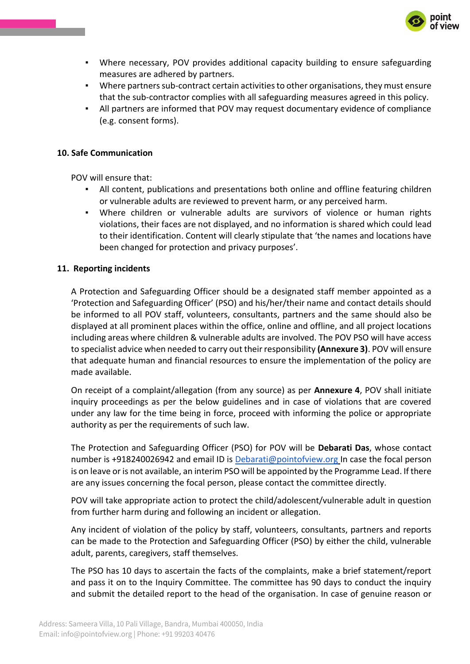

- Where necessary, POV provides additional capacity building to ensure safeguarding measures are adhered by partners.
- Where partners sub-contract certain activities to other organisations, they must ensure that the sub-contractor complies with all safeguarding measures agreed in this policy.
- All partners are informed that POV may request documentary evidence of compliance (e.g. consent forms).

#### **10. Safe Communication**

POV will ensure that:

- All content, publications and presentations both online and offline featuring children or vulnerable adults are reviewed to prevent harm, or any perceived harm.
- Where children or vulnerable adults are survivors of violence or human rights violations, their faces are not displayed, and no information is shared which could lead to their identification. Content will clearly stipulate that 'the names and locations have been changed for protection and privacy purposes'.

### **11. Reporting incidents**

A Protection and Safeguarding Officer should be a designated staff member appointed as a 'Protection and Safeguarding Officer' (PSO) and his/her/their name and contact details should be informed to all POV staff, volunteers, consultants, partners and the same should also be displayed at all prominent places within the office, online and offline, and all project locations including areas where children & vulnerable adults are involved. The POV PSO will have access to specialist advice when needed to carry out their responsibility **(Annexure 3)**. POV will ensure that adequate human and financial resources to ensure the implementation of the policy are made available.

On receipt of a complaint/allegation (from any source) as per **Annexure 4**, POV shall initiate inquiry proceedings as per the below guidelines and in case of violations that are covered under any law for the time being in force, proceed with informing the police or appropriate authority as per the requirements of such law.

The Protection and Safeguarding Officer (PSO) for POV will be **Debarati Das**, whose contact number is +918240026942 and email ID is [Debarati@pointofview.org](mailto:Debarati@pointofview.org) In case the focal person is on leave or is not available, an interim PSO will be appointed by the Programme Lead. If there are any issues concerning the focal person, please contact the committee directly.

POV will take appropriate action to protect the child/adolescent/vulnerable adult in question from further harm during and following an incident or allegation.

Any incident of violation of the policy by staff, volunteers, consultants, partners and reports can be made to the Protection and Safeguarding Officer (PSO) by either the child, vulnerable adult, parents, caregivers, staff themselves.

The PSO has 10 days to ascertain the facts of the complaints, make a brief statement/report and pass it on to the Inquiry Committee. The committee has 90 days to conduct the inquiry and submit the detailed report to the head of the organisation. In case of genuine reason or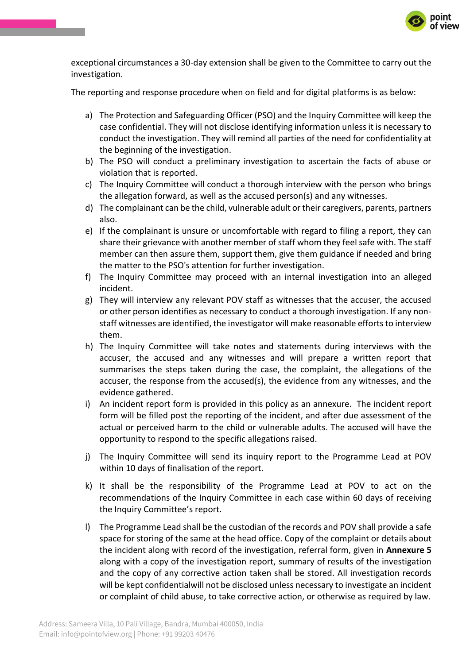

exceptional circumstances a 30-day extension shall be given to the Committee to carry out the investigation.

The reporting and response procedure when on field and for digital platforms is as below:

- a) The Protection and Safeguarding Officer (PSO) and the Inquiry Committee will keep the case confidential. They will not disclose identifying information unless it is necessary to conduct the investigation. They will remind all parties of the need for confidentiality at the beginning of the investigation.
- b) The PSO will conduct a preliminary investigation to ascertain the facts of abuse or violation that is reported.
- c) The Inquiry Committee will conduct a thorough interview with the person who brings the allegation forward, as well as the accused person(s) and any witnesses.
- d) The complainant can be the child, vulnerable adult or their caregivers, parents, partners also.
- e) If the complainant is unsure or uncomfortable with regard to filing a report, they can share their grievance with another member of staff whom they feel safe with. The staff member can then assure them, support them, give them guidance if needed and bring the matter to the PSO's attention for further investigation.
- f) The Inquiry Committee may proceed with an internal investigation into an alleged incident.
- g) They will interview any relevant POV staff as witnesses that the accuser, the accused or other person identifies as necessary to conduct a thorough investigation. If any nonstaff witnesses are identified, the investigator will make reasonable efforts to interview them.
- h) The Inquiry Committee will take notes and statements during interviews with the accuser, the accused and any witnesses and will prepare a written report that summarises the steps taken during the case, the complaint, the allegations of the accuser, the response from the accused(s), the evidence from any witnesses, and the evidence gathered.
- i) An incident report form is provided in this policy as an annexure. The incident report form will be filled post the reporting of the incident, and after due assessment of the actual or perceived harm to the child or vulnerable adults. The accused will have the opportunity to respond to the specific allegations raised.
- j) The Inquiry Committee will send its inquiry report to the Programme Lead at POV within 10 days of finalisation of the report.
- k) It shall be the responsibility of the Programme Lead at POV to act on the recommendations of the Inquiry Committee in each case within 60 days of receiving the Inquiry Committee's report.
- l) The Programme Lead shall be the custodian of the records and POV shall provide a safe space for storing of the same at the head office. Copy of the complaint or details about the incident along with record of the investigation, referral form, given in **Annexure 5**  along with a copy of the investigation report, summary of results of the investigation and the copy of any corrective action taken shall be stored. All investigation records will be kept confidentialwill not be disclosed unless necessary to investigate an incident or complaint of child abuse, to take corrective action, or otherwise as required by law.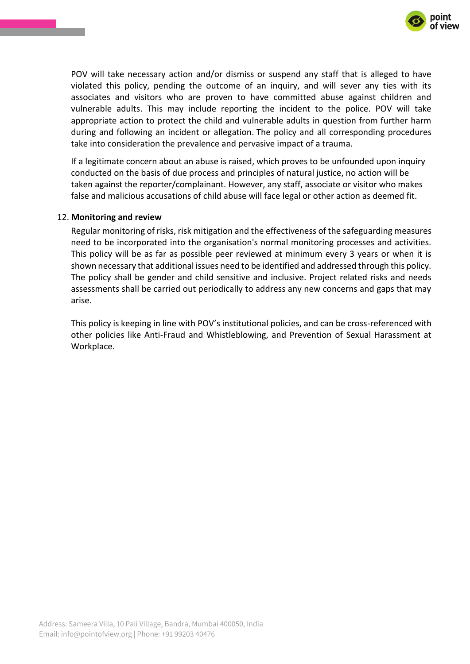

POV will take necessary action and/or dismiss or suspend any staff that is alleged to have violated this policy, pending the outcome of an inquiry, and will sever any ties with its associates and visitors who are proven to have committed abuse against children and vulnerable adults. This may include reporting the incident to the police. POV will take appropriate action to protect the child and vulnerable adults in question from further harm during and following an incident or allegation. The policy and all corresponding procedures take into consideration the prevalence and pervasive impact of a trauma.

If a legitimate concern about an abuse is raised, which proves to be unfounded upon inquiry conducted on the basis of due process and principles of natural justice, no action will be taken against the reporter/complainant. However, any staff, associate or visitor who makes false and malicious accusations of child abuse will face legal or other action as deemed fit.

#### 12. **Monitoring and review**

Regular monitoring of risks, risk mitigation and the effectiveness of the safeguarding measures need to be incorporated into the organisation's normal monitoring processes and activities. This policy will be as far as possible peer reviewed at minimum every 3 years or when it is shown necessary that additional issues need to be identified and addressed through this policy. The policy shall be gender and child sensitive and inclusive. Project related risks and needs assessments shall be carried out periodically to address any new concerns and gaps that may arise.

This policy is keeping in line with POV's institutional policies, and can be cross-referenced with other policies like Anti-Fraud and Whistleblowing, and Prevention of Sexual Harassment at Workplace.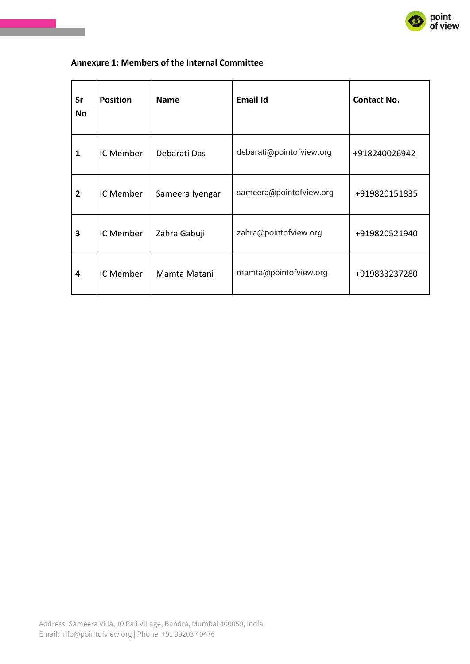

## **Annexure 1: Members of the Internal Committee**

| Sr<br>No       | <b>Position</b> | <b>Name</b>     | <b>Email Id</b>          | <b>Contact No.</b> |
|----------------|-----------------|-----------------|--------------------------|--------------------|
| $\mathbf{1}$   | IC Member       | Debarati Das    | debarati@pointofview.org | +918240026942      |
| $\overline{2}$ | IC Member       | Sameera Iyengar | sameera@pointofview.org  | +919820151835      |
| 3              | IC Member       | Zahra Gabuji    | zahra@pointofview.org    | +919820521940      |
| 4              | IC Member       | Mamta Matani    | mamta@pointofview.org    | +919833237280      |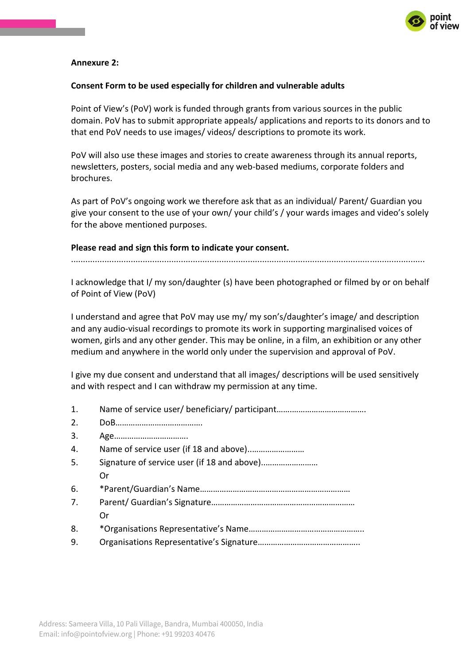

### **Annexure 2:**

#### **Consent Form to be used especially for children and vulnerable adults**

Point of View's (PoV) work is funded through grants from various sources in the public domain. PoV has to submit appropriate appeals/ applications and reports to its donors and to that end PoV needs to use images/ videos/ descriptions to promote its work.

PoV will also use these images and stories to create awareness through its annual reports, newsletters, posters, social media and any web-based mediums, corporate folders and brochures.

As part of PoV's ongoing work we therefore ask that as an individual/ Parent/ Guardian you give your consent to the use of your own/ your child's / your wards images and video's solely for the above mentioned purposes.

#### **Please read and sign this form to indicate your consent.**

I acknowledge that I/ my son/daughter (s) have been photographed or filmed by or on behalf of Point of View (PoV)

I understand and agree that PoV may use my/ my son's/daughter's image/ and description and any audio-visual recordings to promote its work in supporting marginalised voices of women, girls and any other gender. This may be online, in a film, an exhibition or any other medium and anywhere in the world only under the supervision and approval of PoV.

I give my due consent and understand that all images/ descriptions will be used sensitively and with respect and I can withdraw my permission at any time.

- 1. Name of service user/ beneficiary/ participant…….…………………………….
- 2. DoB………………………………….
- 3. Age…………………………….
- 4. Name of service user (if 18 and above)..……………………
- 5. Signature of service user (if 18 and above)..…………………… Or 6. \*Parent/Guardian's Name…………………………………………………………… 7. Parent/ Guardian's Signature…………………………………………………………
	- Or
- 8. \*Organisations Representative's Name……………………………………………..
- 9. Organisations Representative's Signature………………………………………..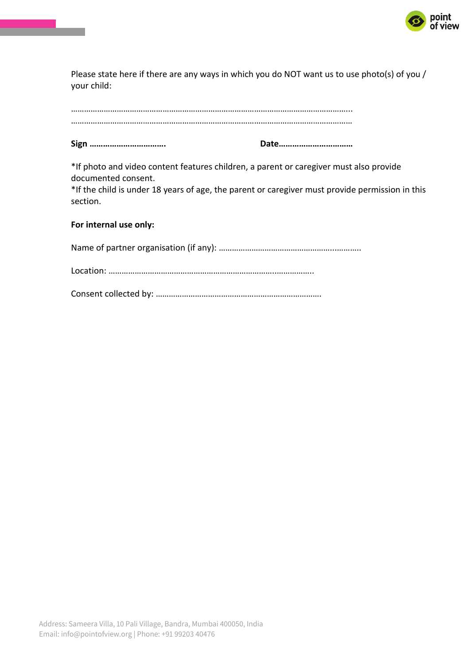

Please state here if there are any ways in which you do NOT want us to use photo(s) of you / your child:

…………………………………………………………………………………………………………………

**Sign ……………………………. Date……………………………**

\*If photo and video content features children, a parent or caregiver must also provide documented consent.

\*If the child is under 18 years of age, the parent or caregiver must provide permission in this section.

### **For internal use only:**

Name of partner organisation (if any): ……………………………………………...………..

Location: …………………………………………………………………..……………..

Consent collected by: ………………………………………………………………….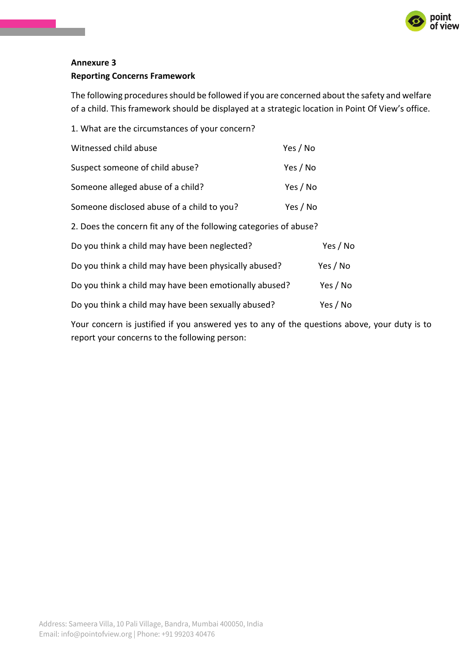

# **Annexure 3 Reporting Concerns Framework**

The following procedures should be followed if you are concerned about the safety and welfare of a child. This framework should be displayed at a strategic location in Point Of View's office.

| 1. What are the circumstances of your concern?                    |          |  |  |
|-------------------------------------------------------------------|----------|--|--|
| Witnessed child abuse                                             | Yes / No |  |  |
| Suspect someone of child abuse?                                   | Yes / No |  |  |
| Someone alleged abuse of a child?                                 | Yes / No |  |  |
| Someone disclosed abuse of a child to you?                        | Yes / No |  |  |
| 2. Does the concern fit any of the following categories of abuse? |          |  |  |
| Do you think a child may have been neglected?                     | Yes / No |  |  |
| Do you think a child may have been physically abused?             | Yes / No |  |  |
| Do you think a child may have been emotionally abused?            | Yes / No |  |  |
| Do you think a child may have been sexually abused?               | Yes / No |  |  |
|                                                                   |          |  |  |

Your concern is justified if you answered yes to any of the questions above, your duty is to report your concerns to the following person: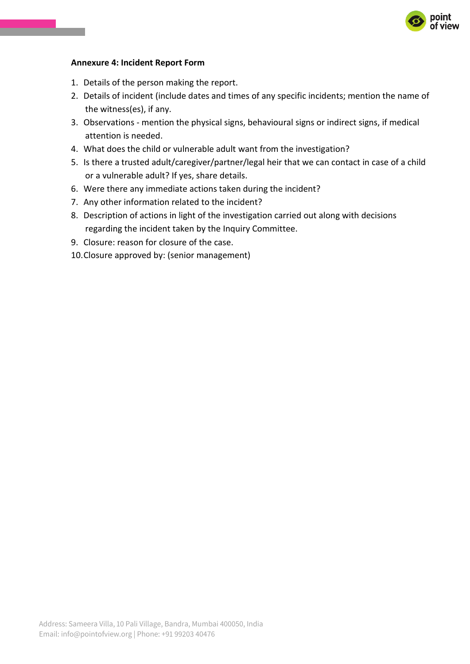

#### **Annexure 4: Incident Report Form**

- 1. Details of the person making the report.
- 2. Details of incident (include dates and times of any specific incidents; mention the name of the witness(es), if any.
- 3. Observations mention the physical signs, behavioural signs or indirect signs, if medical attention is needed.
- 4. What does the child or vulnerable adult want from the investigation?
- 5. Is there a trusted adult/caregiver/partner/legal heir that we can contact in case of a child or a vulnerable adult? If yes, share details.
- 6. Were there any immediate actions taken during the incident?
- 7. Any other information related to the incident?
- 8. Description of actions in light of the investigation carried out along with decisions regarding the incident taken by the Inquiry Committee.
- 9. Closure: reason for closure of the case.
- 10.Closure approved by: (senior management)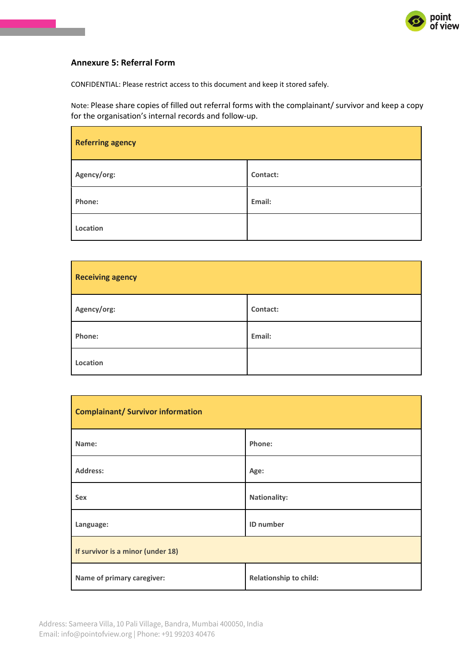

## **Annexure 5: Referral Form**

CONFIDENTIAL: Please restrict access to this document and keep it stored safely.

Note: Please share copies of filled out referral forms with the complainant/ survivor and keep a copy for the organisation's internal records and follow-up.

| <b>Referring agency</b> |          |  |  |
|-------------------------|----------|--|--|
| Agency/org:             | Contact: |  |  |
| Phone:                  | Email:   |  |  |
| Location                |          |  |  |

| <b>Receiving agency</b> |          |  |
|-------------------------|----------|--|
| Agency/org:             | Contact: |  |
| Phone:                  | Email:   |  |
| Location                |          |  |

| <b>Complainant/ Survivor information</b> |                               |  |  |
|------------------------------------------|-------------------------------|--|--|
| Name:                                    | Phone:                        |  |  |
| <b>Address:</b>                          | Age:                          |  |  |
| <b>Sex</b>                               | <b>Nationality:</b>           |  |  |
| Language:                                | ID number                     |  |  |
| If survivor is a minor (under 18)        |                               |  |  |
| Name of primary caregiver:               | <b>Relationship to child:</b> |  |  |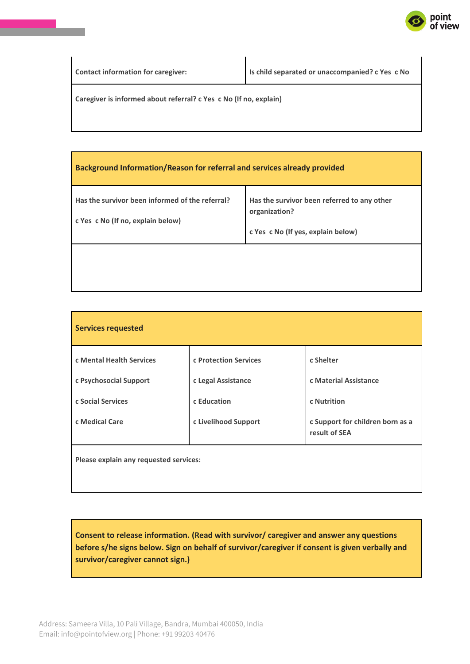

**Contact information for caregiver: Is child separated or unaccompanied? c Yes c No**

**Caregiver is informed about referral? c Yes c No (If no, explain)**

| <b>Background Information/Reason for referral and services already provided</b>      |                                                                                                    |  |  |
|--------------------------------------------------------------------------------------|----------------------------------------------------------------------------------------------------|--|--|
| Has the survivor been informed of the referral?<br>c Yes c No (If no, explain below) | Has the survivor been referred to any other<br>organization?<br>c Yes c No (If yes, explain below) |  |  |
|                                                                                      |                                                                                                    |  |  |

| <b>Services requested</b>              |                       |                                                   |  |
|----------------------------------------|-----------------------|---------------------------------------------------|--|
| c Mental Health Services               | c Protection Services | c Shelter                                         |  |
| c Psychosocial Support                 | c Legal Assistance    | c Material Assistance                             |  |
| c Social Services                      | c Education           | c Nutrition                                       |  |
| c Medical Care                         | c Livelihood Support  | c Support for children born as a<br>result of SEA |  |
| Please explain any requested services: |                       |                                                   |  |

**Consent to release information. (Read with survivor/ caregiver and answer any questions before s/he signs below. Sign on behalf of survivor/caregiver if consent is given verbally and survivor/caregiver cannot sign.)**

Address: Sameera Villa, 10 Pali Village, Bandra, Mumbai 400050, India Email: info@pointofview.org | Phone: +91 99203 40476